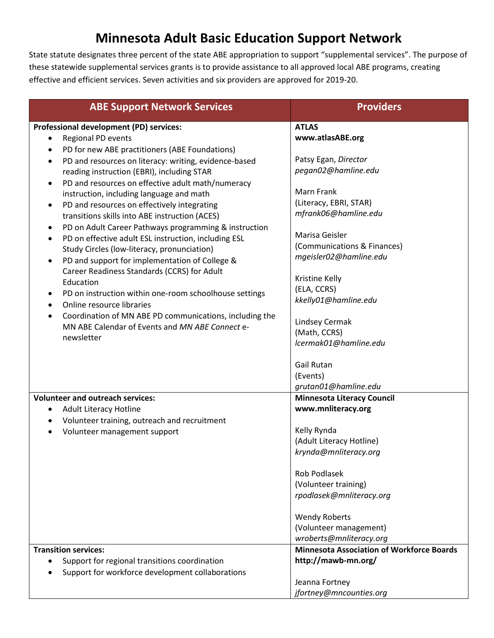## **Minnesota Adult Basic Education Support Network**

State statute designates three percent of the state ABE appropriation to support "supplemental services". The purpose of these statewide supplemental services grants is to provide assistance to all approved local ABE programs, creating effective and efficient services. Seven activities and six providers are approved for 2019-20.

| <b>ABE Support Network Services</b>                                                                                                                                                                                                                                                                                                                                                                                                                                                                                                                                                                                                                                                                                                                                             | <b>Providers</b>                                                                                                                                                                                                         |
|---------------------------------------------------------------------------------------------------------------------------------------------------------------------------------------------------------------------------------------------------------------------------------------------------------------------------------------------------------------------------------------------------------------------------------------------------------------------------------------------------------------------------------------------------------------------------------------------------------------------------------------------------------------------------------------------------------------------------------------------------------------------------------|--------------------------------------------------------------------------------------------------------------------------------------------------------------------------------------------------------------------------|
| Professional development (PD) services:<br>Regional PD events<br>$\bullet$                                                                                                                                                                                                                                                                                                                                                                                                                                                                                                                                                                                                                                                                                                      | <b>ATLAS</b><br>www.atlasABE.org                                                                                                                                                                                         |
| PD for new ABE practitioners (ABE Foundations)<br>٠<br>PD and resources on literacy: writing, evidence-based<br>$\bullet$<br>reading instruction (EBRI), including STAR<br>PD and resources on effective adult math/numeracy<br>$\bullet$<br>instruction, including language and math<br>PD and resources on effectively integrating<br>$\bullet$<br>transitions skills into ABE instruction (ACES)<br>PD on Adult Career Pathways programming & instruction<br>٠<br>PD on effective adult ESL instruction, including ESL<br>$\bullet$<br>Study Circles (low-literacy, pronunciation)<br>PD and support for implementation of College &<br>$\bullet$<br>Career Readiness Standards (CCRS) for Adult<br>Education<br>PD on instruction within one-room schoolhouse settings<br>٠ | Patsy Egan, Director<br>pegan02@hamline.edu<br>Marn Frank<br>(Literacy, EBRI, STAR)<br>mfrank06@hamline.edu<br>Marisa Geisler<br>(Communications & Finances)<br>mgeisler02@hamline.edu<br>Kristine Kelly<br>(ELA, CCRS)  |
| Online resource libraries<br>$\bullet$<br>Coordination of MN ABE PD communications, including the<br>MN ABE Calendar of Events and MN ABE Connect e-<br>newsletter                                                                                                                                                                                                                                                                                                                                                                                                                                                                                                                                                                                                              | kkelly01@hamline.edu<br><b>Lindsey Cermak</b><br>(Math, CCRS)<br>lcermak01@hamline.edu<br>Gail Rutan<br>(Events)<br>grutan01@hamline.edu                                                                                 |
| <b>Volunteer and outreach services:</b><br>Adult Literacy Hotline<br>$\bullet$                                                                                                                                                                                                                                                                                                                                                                                                                                                                                                                                                                                                                                                                                                  | <b>Minnesota Literacy Council</b><br>www.mnliteracy.org                                                                                                                                                                  |
| Volunteer training, outreach and recruitment<br>٠<br>Volunteer management support                                                                                                                                                                                                                                                                                                                                                                                                                                                                                                                                                                                                                                                                                               | Kelly Rynda<br>(Adult Literacy Hotline)<br>krynda@mnliteracy.org<br><b>Rob Podlasek</b><br>(Volunteer training)<br>rpodlasek@mnliteracy.org<br><b>Wendy Roberts</b><br>(Volunteer management)<br>wroberts@mnliteracy.org |
| <b>Transition services:</b><br>Support for regional transitions coordination<br>Support for workforce development collaborations                                                                                                                                                                                                                                                                                                                                                                                                                                                                                                                                                                                                                                                | <b>Minnesota Association of Workforce Boards</b><br>http://mawb-mn.org/<br>Jeanna Fortney<br>jfortney@mncounties.org                                                                                                     |